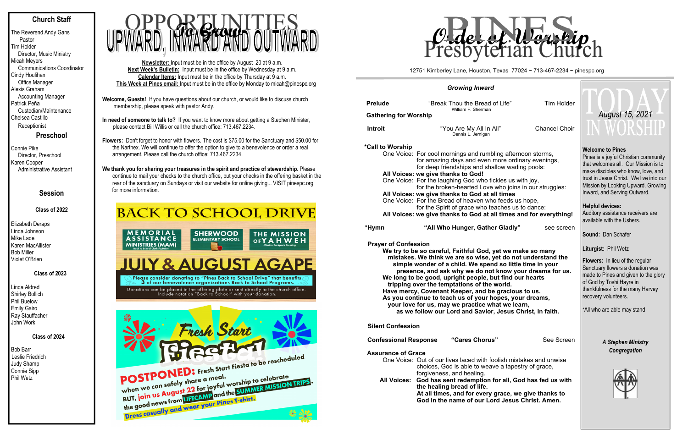### **Church Staff**

The Reverend Andy Gans Pastor Tim Holder Director, Music Ministry Micah Meyers Communications Coordinator Cindy Houlihan Office Manager Alexis Graham Accounting Manager Patrick Peña Custodian/Maintenance Chelsea Castillo **Receptionist** 

**Preschool**

Connie Pike Director, Preschool Karen Cooper Administrative Assistant

### **Session**

### **Class of 2022**

Elizabeth Deraps Linda Johnson Mike Lade Karen MacAllister Bob Miller Violet O'Brien

 **Class of 2023** 

Linda Aldred Shirley Bollich Phil Buelow Emily Gairo Ray Stauffacher John Work

### **Class of 2024**

Bob Barr Leslie Friedrich Judy Shamp Connie Sipp Phil Wetz

- **Welcome, Guests!** If you have questions about our church, or would like to discuss church membership, please speak with pastor Andy.
- **In need of someone to talk to?** If you want to know more about getting a Stephen Minister, please contact Bill Willis or call the church office: 713.467.2234.

**Flowers:** Don't forget to honor with flowers. The cost is \$75.00 for the Sanctuary and \$50.00 for the Narthex. We will continue to offer the option to give to a benevolence or order a real arrangement. Please call the church office: 713.467.2234.

| <b>Prelude</b>                                                     | "Break Thou the Bread of Life"<br>William F. Sherman                                                                                                               | <b>Tim Holder</b>    |  |  |  |  |  |  |
|--------------------------------------------------------------------|--------------------------------------------------------------------------------------------------------------------------------------------------------------------|----------------------|--|--|--|--|--|--|
| <b>Gathering for Worship</b>                                       |                                                                                                                                                                    |                      |  |  |  |  |  |  |
| <b>Introit</b>                                                     | "You Are My All In All"<br>Dennis L. Jernigan                                                                                                                      | <b>Chancel Choir</b> |  |  |  |  |  |  |
| *Call to Worship                                                   |                                                                                                                                                                    |                      |  |  |  |  |  |  |
|                                                                    | One Voice: For cool mornings and rumbling afternoon storms,<br>for amazing days and even more ordinary evenings,<br>for deep friendships and shallow wading pools: |                      |  |  |  |  |  |  |
|                                                                    | All Voices: we give thanks to God!                                                                                                                                 |                      |  |  |  |  |  |  |
|                                                                    | One Voice: For the laughing God who tickles us with joy,<br>for the broken-hearted Love who joins in our struggles:                                                |                      |  |  |  |  |  |  |
|                                                                    | All Voices: we give thanks to God at all times                                                                                                                     |                      |  |  |  |  |  |  |
|                                                                    | One Voice: For the Bread of heaven who feeds us hope,<br>for the Spirit of grace who teaches us to dance:                                                          |                      |  |  |  |  |  |  |
| All Voices: we give thanks to God at all times and for everything! |                                                                                                                                                                    |                      |  |  |  |  |  |  |
| *Hymn                                                              | "All Who Hunger, Gather Gladly"                                                                                                                                    | see screen           |  |  |  |  |  |  |
| <b>Prayer of Confession</b>                                        | We try to be so careful, Faithful God, yet we make so many                                                                                                         |                      |  |  |  |  |  |  |

**We thank you for sharing your treasures in the spirit and practice of stewardship.** Please continue to mail your checks to the church office, put your checks in the offering basket in the rear of the sanctuary on Sundays or visit our website for online giving... VISIT pinespc.org for more information.

### **BACK TO SCHOOL DRIVE**



we make so many  **mistakes. We think we are so wise, yet do not understand the simple wonder of a child. We spend so little time in your presence, and ask why we do not know your dreams for us. We long to be good, upright people, but find our hearts tripping over the temptations of the world. Have mercy, Covenant Keeper, and be gracious to us. As you continue to teach us of your hopes, your dreams, your love for us, may we practice what we learn, as we follow our Lord and Savior, Jesus Christ, in faith.**

**Confessional Response "Cares Chorus"** See Screen **Assurance of Grace** 

**Newsletter:** Input must be in the office by August 20 at 9 a.m. **Next Week's Bulletin:** Input must be in the office by Wednesday at 9 a.m. **Calendar Items:** Input must be in the office by Thursday at 9 a.m. **This Week at Pines email:** Input must be in the office by Monday to micah@pinespc.org



### *Growing Inward*

 **Silent Confession** 

One Voice: Out of our lives laced with foolish mistakes and unwise choices, God is able to weave a tapestry of grace, forgiveness, and healing. **All Voices: God has sent redemption for all, God has fed us with the healing bread of life. At all times, and for every grace, we give thanks to God in the name of our Lord Jesus Christ. Amen.** 

### **Welcome to Pines**

Pines is a joyful Christian community that welcomes all. Our Mission is to make disciples who know, love, and trust in Jesus Christ. We live into our Mission by Looking Upward, Growing Inward, and Serving Outward.

### **Helpful devices:**

Auditory assistance receivers are available with the Ushers.

**Sound:** Dan Schafer

**Liturgist:** Phil Wetz

**Flowers:** In lieu of the regular Sanctuary flowers a donation was made to Pines and given to the glory of God by Toshi Hayre in thankfulness for the many Harvey recovery volunteers.

\*All who are able may stand

### *A Stephen Ministry Congregation*



12751 Kimberley Lane, Houston, Texas 77024 ~ 713-467-2234 ~ pinespc.org



# *August 15, 2021*